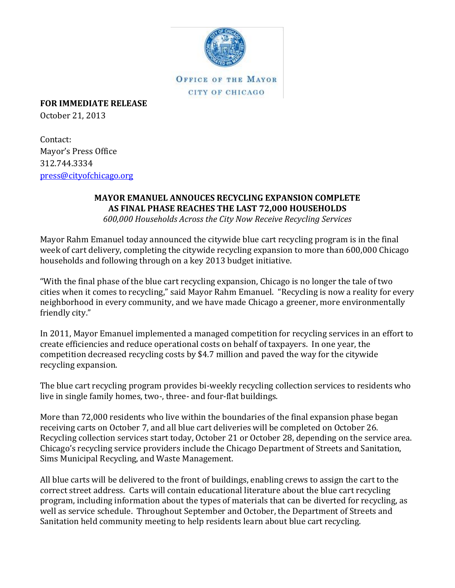

**OFFICE OF THE MAYOR** CITY OF CHICAGO

**FOR IMMEDIATE RELEASE**

October 21, 2013

Contact: Mayor's Press Office 312.744.3334 [press@cityofchicago.org](mailto:press@cityofchicago.org)

## **MAYOR EMANUEL ANNOUCES RECYCLING EXPANSION COMPLETE AS FINAL PHASE REACHES THE LAST 72,000 HOUSEHOLDS**

*600,000 Households Across the City Now Receive Recycling Services*

Mayor Rahm Emanuel today announced the citywide blue cart recycling program is in the final week of cart delivery, completing the citywide recycling expansion to more than 600,000 Chicago households and following through on a key 2013 budget initiative.

"With the final phase of the blue cart recycling expansion, Chicago is no longer the tale of two cities when it comes to recycling," said Mayor Rahm Emanuel. "Recycling is now a reality for every neighborhood in every community, and we have made Chicago a greener, more environmentally friendly city."

In 2011, Mayor Emanuel implemented a managed competition for recycling services in an effort to create efficiencies and reduce operational costs on behalf of taxpayers. In one year, the competition decreased recycling costs by \$4.7 million and paved the way for the citywide recycling expansion.

The blue cart recycling program provides bi-weekly recycling collection services to residents who live in single family homes, two-, three- and four-flat buildings.

More than 72,000 residents who live within the boundaries of the final expansion phase began receiving carts on October 7, and all blue cart deliveries will be completed on October 26. Recycling collection services start today, October 21 or October 28, depending on the service area. Chicago's recycling service providers include the Chicago Department of Streets and Sanitation, Sims Municipal Recycling, and Waste Management.

All blue carts will be delivered to the front of buildings, enabling crews to assign the cart to the correct street address. Carts will contain educational literature about the blue cart recycling program, including information about the types of materials that can be diverted for recycling, as well as service schedule. Throughout September and October, the Department of Streets and Sanitation held community meeting to help residents learn about blue cart recycling.